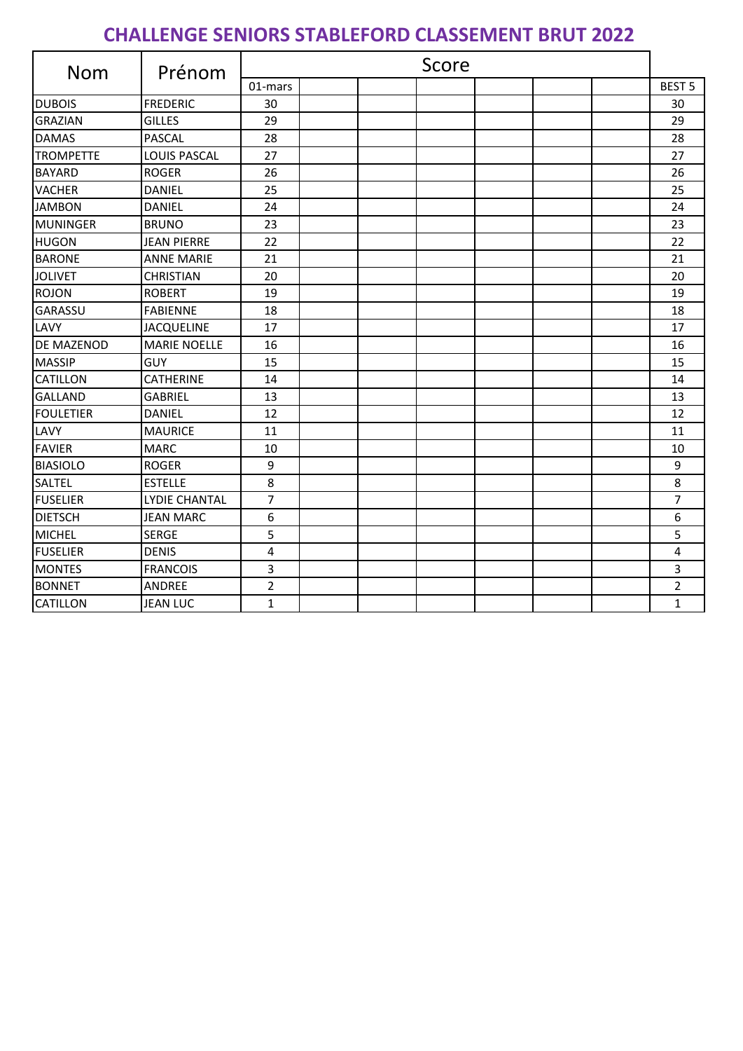## **CHALLENGE SENIORS STABLEFORD CLASSEMENT BRUT 2022**

| <b>Nom</b>        | Prénom               | Score        |  |  |  |  |  |                |
|-------------------|----------------------|--------------|--|--|--|--|--|----------------|
|                   |                      | 01-mars      |  |  |  |  |  | <b>BEST 5</b>  |
| <b>DUBOIS</b>     | <b>FREDERIC</b>      | 30           |  |  |  |  |  | 30             |
| <b>GRAZIAN</b>    | <b>GILLES</b>        | 29           |  |  |  |  |  | 29             |
| <b>DAMAS</b>      | <b>PASCAL</b>        | 28           |  |  |  |  |  | 28             |
| <b>TROMPETTE</b>  | LOUIS PASCAL         | 27           |  |  |  |  |  | 27             |
| <b>BAYARD</b>     | <b>ROGER</b>         | 26           |  |  |  |  |  | 26             |
| <b>VACHER</b>     | <b>DANIEL</b>        | 25           |  |  |  |  |  | 25             |
| <b>JAMBON</b>     | <b>DANIEL</b>        | 24           |  |  |  |  |  | 24             |
| <b>MUNINGER</b>   | <b>BRUNO</b>         | 23           |  |  |  |  |  | 23             |
| <b>HUGON</b>      | <b>JEAN PIERRE</b>   | 22           |  |  |  |  |  | 22             |
| <b>BARONE</b>     | <b>ANNE MARIE</b>    | 21           |  |  |  |  |  | 21             |
| <b>JOLIVET</b>    | <b>CHRISTIAN</b>     | 20           |  |  |  |  |  | 20             |
| <b>ROJON</b>      | <b>ROBERT</b>        | 19           |  |  |  |  |  | 19             |
| <b>GARASSU</b>    | <b>FABIENNE</b>      | 18           |  |  |  |  |  | 18             |
| LAVY              | <b>JACQUELINE</b>    | 17           |  |  |  |  |  | 17             |
| <b>DE MAZENOD</b> | <b>MARIE NOELLE</b>  | 16           |  |  |  |  |  | 16             |
| <b>MASSIP</b>     | <b>GUY</b>           | 15           |  |  |  |  |  | 15             |
| <b>CATILLON</b>   | <b>CATHERINE</b>     | 14           |  |  |  |  |  | 14             |
| <b>GALLAND</b>    | <b>GABRIEL</b>       | 13           |  |  |  |  |  | 13             |
| <b>FOULETIER</b>  | <b>DANIEL</b>        | 12           |  |  |  |  |  | 12             |
| LAVY              | <b>MAURICE</b>       | 11           |  |  |  |  |  | 11             |
| <b>FAVIER</b>     | <b>MARC</b>          | 10           |  |  |  |  |  | 10             |
| <b>BIASIOLO</b>   | <b>ROGER</b>         | 9            |  |  |  |  |  | 9              |
| <b>SALTEL</b>     | <b>ESTELLE</b>       | 8            |  |  |  |  |  | 8              |
| <b>FUSELIER</b>   | <b>LYDIE CHANTAL</b> | 7            |  |  |  |  |  | $\overline{7}$ |
| <b>DIETSCH</b>    | <b>JEAN MARC</b>     | 6            |  |  |  |  |  | 6              |
| <b>MICHEL</b>     | <b>SERGE</b>         | 5            |  |  |  |  |  | 5              |
| <b>FUSELIER</b>   | <b>DENIS</b>         | 4            |  |  |  |  |  | 4              |
| <b>MONTES</b>     | <b>FRANCOIS</b>      | 3            |  |  |  |  |  | 3              |
| <b>BONNET</b>     | ANDREE               | 2            |  |  |  |  |  | $\overline{2}$ |
| <b>CATILLON</b>   | <b>JEAN LUC</b>      | $\mathbf{1}$ |  |  |  |  |  | $\mathbf 1$    |